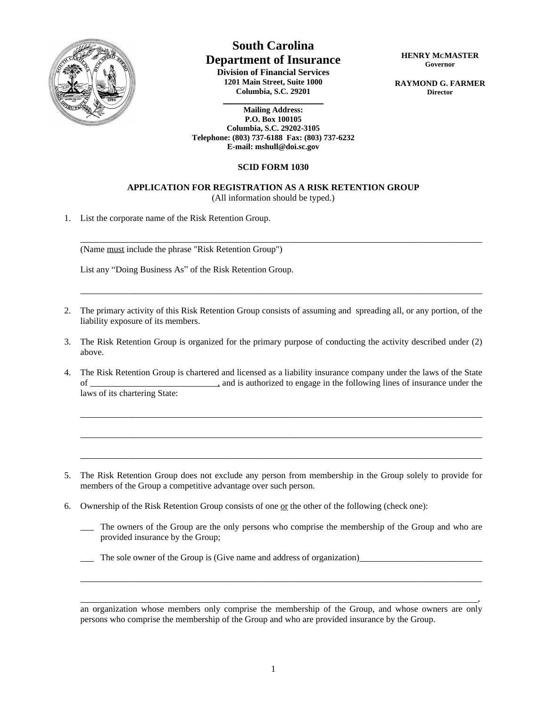

 $\overline{a}$ 

 $\overline{a}$ 

 $\overline{a}$ 

 $\overline{a}$ 

 $\overline{a}$ 

## **South Carolina Department of Insurance**

**Division of Financial Services 1201 Main Street, Suite 1000 Columbia, S.C. 29201**

**\_\_\_\_\_\_\_\_\_\_\_\_\_\_\_\_\_\_\_\_\_\_\_\_\_ Mailing Address: P.O. Box 100105 Columbia, S.C. 29202-3105 Telephone: (803) 737-6188 Fax: (803) 737-6232 E-mail: mshull@doi.sc.gov**

## **SCID FORM 1030**

## **APPLICATION FOR REGISTRATION AS A RISK RETENTION GROUP**

(All information should be typed.)

1. List the corporate name of the Risk Retention Group.

 $\overline{a}$ (Name must include the phrase "Risk Retention Group")

List any "Doing Business As" of the Risk Retention Group.

- 2. The primary activity of this Risk Retention Group consists of assuming and spreading all, or any portion, of the liability exposure of its members.
- 3. The Risk Retention Group is organized for the primary purpose of conducting the activity described under (2) above.
- 4. The Risk Retention Group is chartered and licensed as a liability insurance company under the laws of the State of , and is authorized to engage in the following lines of insurance under the laws of its chartering State:

- 5. The Risk Retention Group does not exclude any person from membership in the Group solely to provide for members of the Group a competitive advantage over such person.
- 6. Ownership of the Risk Retention Group consists of one or the other of the following (check one):
	- The owners of the Group are the only persons who comprise the membership of the Group and who are provided insurance by the Group;
	- The sole owner of the Group is (Give name and address of organization)

**HENRY MCMASTER Governor**

**RAYMOND G. FARMER Director**

<sup>,</sup> which is a set of the contract of the contract of the contract of the contract of the contract of  $\mathcal{A}$ an organization whose members only comprise the membership of the Group, and whose owners are only persons who comprise the membership of the Group and who are provided insurance by the Group.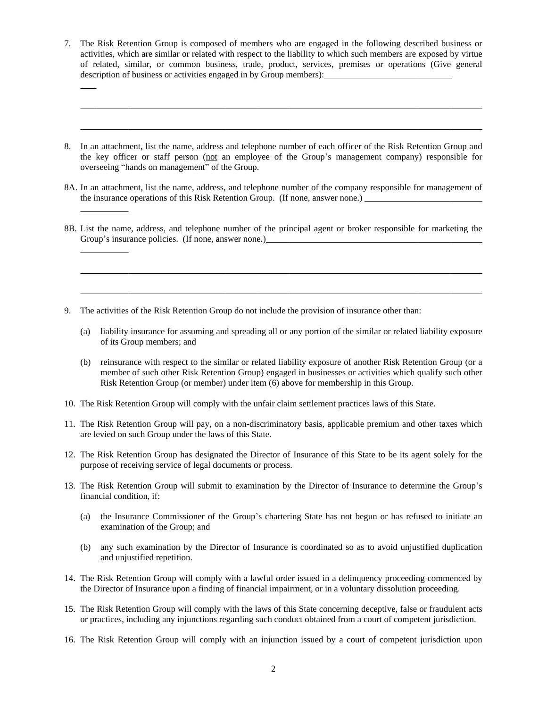7. The Risk Retention Group is composed of members who are engaged in the following described business or activities, which are similar or related with respect to the liability to which such members are exposed by virtue of related, similar, or common business, trade, product, services, premises or operations (Give general description of business or activities engaged in by Group members):

 $\overline{a}$ 

 $\overline{a}$ 

 $\overline{a}$ 

 $\overline{a}$ 

 $\overline{a}$ 

 $\overline{a}$ 

 $\overline{a}$ 

- 8. In an attachment, list the name, address and telephone number of each officer of the Risk Retention Group and the key officer or staff person (not an employee of the Group's management company) responsible for overseeing "hands on management" of the Group.
- 8A. In an attachment, list the name, address, and telephone number of the company responsible for management of the insurance operations of this Risk Retention Group. (If none, answer none.)
- 8B. List the name, address, and telephone number of the principal agent or broker responsible for marketing the Group's insurance policies. (If none, answer none.)
- 9. The activities of the Risk Retention Group do not include the provision of insurance other than:
	- (a) liability insurance for assuming and spreading all or any portion of the similar or related liability exposure of its Group members; and
	- (b) reinsurance with respect to the similar or related liability exposure of another Risk Retention Group (or a member of such other Risk Retention Group) engaged in businesses or activities which qualify such other Risk Retention Group (or member) under item (6) above for membership in this Group.
- 10. The Risk Retention Group will comply with the unfair claim settlement practices laws of this State.
- 11. The Risk Retention Group will pay, on a non-discriminatory basis, applicable premium and other taxes which are levied on such Group under the laws of this State.
- 12. The Risk Retention Group has designated the Director of Insurance of this State to be its agent solely for the purpose of receiving service of legal documents or process.
- 13. The Risk Retention Group will submit to examination by the Director of Insurance to determine the Group's financial condition, if:
	- (a) the Insurance Commissioner of the Group's chartering State has not begun or has refused to initiate an examination of the Group; and
	- (b) any such examination by the Director of Insurance is coordinated so as to avoid unjustified duplication and unjustified repetition.
- 14. The Risk Retention Group will comply with a lawful order issued in a delinquency proceeding commenced by the Director of Insurance upon a finding of financial impairment, or in a voluntary dissolution proceeding.
- 15. The Risk Retention Group will comply with the laws of this State concerning deceptive, false or fraudulent acts or practices, including any injunctions regarding such conduct obtained from a court of competent jurisdiction.
- 16. The Risk Retention Group will comply with an injunction issued by a court of competent jurisdiction upon